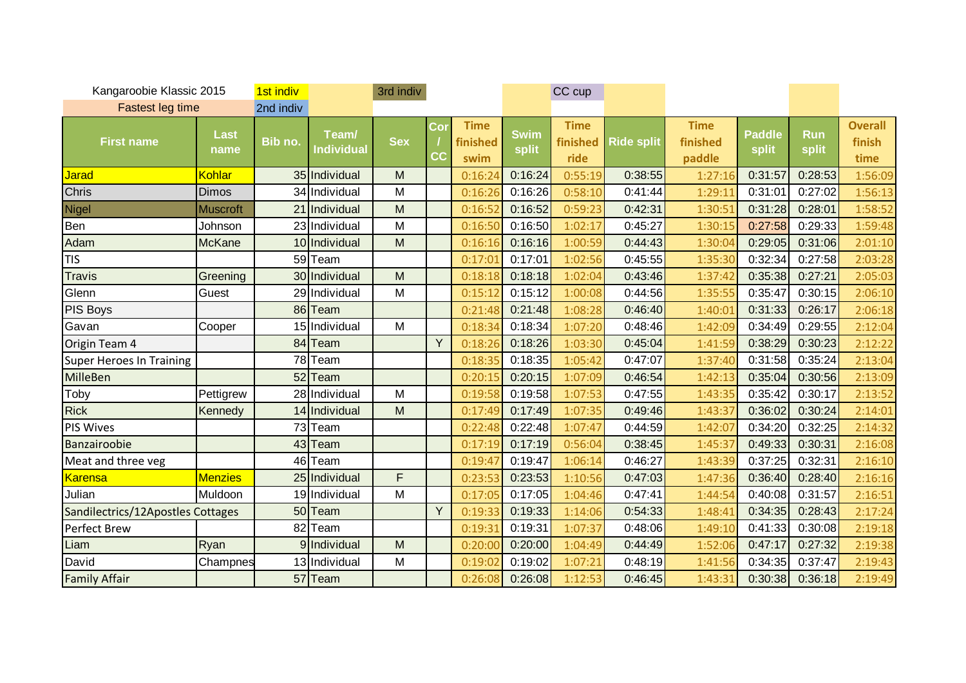| Kangaroobie Klassic 2015          |                     | 1st indiv |                     | 3rd indiv  |           | CC cup                          |                      |                                 |                   |                                   |                        |                     |                                  |
|-----------------------------------|---------------------|-----------|---------------------|------------|-----------|---------------------------------|----------------------|---------------------------------|-------------------|-----------------------------------|------------------------|---------------------|----------------------------------|
| <b>Fastest leg time</b>           |                     | 2nd indiv |                     |            |           |                                 |                      |                                 |                   |                                   |                        |                     |                                  |
| <b>First name</b>                 | <b>Last</b><br>name | Bib no.   | Team/<br>Individual | <b>Sex</b> | Cor<br>CC | <b>Time</b><br>finished<br>swim | <b>Swim</b><br>split | <b>Time</b><br>finished<br>ride | <b>Ride split</b> | <b>Time</b><br>finished<br>paddle | <b>Paddle</b><br>split | <b>Run</b><br>split | <b>Overall</b><br>finish<br>time |
| Jarad                             | <b>Kohlar</b>       |           | 35 Individual       | M          |           | 0:16:24                         | 0:16:24              | 0:55:19                         | 0:38:55           | 1:27:16                           | 0:31:57                | 0:28:53             | 1:56:09                          |
| Chris                             | <b>Dimos</b>        |           | 34 Individual       | M          |           | 0:16:26                         | 0:16:26              | 0:58:10                         | 0:41:44           | 1:29:11                           | 0:31:01                | 0:27:02             | 1:56:13                          |
| Nigel                             | <b>Muscroft</b>     |           | 21 Individual       | M          |           | 0:16:52                         | 0:16:52              | 0:59:23                         | 0:42:31           | 1:30:51                           | 0:31:28                | 0:28:01             | 1:58:52                          |
| Ben                               | Johnson             |           | 23 Individual       | M          |           | 0:16:50                         | 0:16:50              | 1:02:17                         | 0:45:27           | 1:30:15                           | 0:27:58                | 0:29:33             | 1:59:48                          |
| Adam                              | <b>McKane</b>       |           | 10 Individual       | M          |           | 0:16:16                         | 0:16:16              | 1:00:59                         | 0:44:43           | 1:30:04                           | 0:29:05                | 0:31:06             | 2:01:10                          |
| <b>TIS</b>                        |                     |           | 59 Team             |            |           | 0:17:01                         | 0:17:01              | 1:02:56                         | 0:45:55           | 1:35:30                           | 0:32:34                | 0:27:58             | 2:03:28                          |
| Travis                            | Greening            |           | 30 Individual       | M          |           | 0:18:18                         | 0:18:18              | 1:02:04                         | 0:43:46           | 1:37:42                           | 0:35:38                | 0:27:21             | 2:05:03                          |
| Glenn                             | Guest               |           | 29 Individual       | M          |           | 0:15:12                         | 0:15:12              | 1:00:08                         | 0:44:56           | 1:35:55                           | 0:35:47                | 0:30:15             | 2:06:10                          |
| PIS Boys                          |                     |           | 86 Team             |            |           | 0:21:48                         | 0:21:48              | 1:08:28                         | 0:46:40           | 1:40:01                           | 0:31:33                | 0:26:17             | 2:06:18                          |
| Gavan                             | Cooper              |           | 15 Individual       | M          |           | 0:18:34                         | 0:18:34              | 1:07:20                         | 0:48:46           | 1:42:09                           | 0:34:49                | 0:29:55             | 2:12:04                          |
| Origin Team 4                     |                     |           | 84 Team             |            | Y         | 0:18:26                         | 0:18:26              | 1:03:30                         | 0:45:04           | 1:41:59                           | 0:38:29                | 0:30:23             | 2:12:22                          |
| <b>Super Heroes In Training</b>   |                     |           | 78 Team             |            |           | 0:18:35                         | 0:18:35              | 1:05:42                         | 0:47:07           | 1:37:40                           | 0:31:58                | 0:35:24             | 2:13:04                          |
| <b>MilleBen</b>                   |                     |           | 52 Team             |            |           | 0:20:15                         | 0:20:15              | 1:07:09                         | 0:46:54           | 1:42:13                           | 0:35:04                | 0:30:56             | 2:13:09                          |
| Toby                              | Pettigrew           |           | 28 Individual       | M          |           | 0:19:58                         | 0:19:58              | 1:07:53                         | 0:47:55           | 1:43:35                           | 0:35:42                | 0:30:17             | 2:13:52                          |
| <b>Rick</b>                       | Kennedy             |           | 14 Individual       | M          |           | 0:17:49                         | 0:17:49              | 1:07:35                         | 0:49:46           | 1:43:37                           | 0:36:02                | 0:30:24             | 2:14:01                          |
| <b>PIS Wives</b>                  |                     |           | 73 Team             |            |           | 0:22:48                         | 0:22:48              | 1:07:47                         | 0:44:59           | 1:42:07                           | 0:34:20                | 0:32:25             | 2:14:32                          |
| Banzairoobie                      |                     |           | 43 Team             |            |           | 0:17:19                         | 0:17:19              | 0:56:04                         | 0:38:45           | 1:45:37                           | 0:49:33                | 0:30:31             | 2:16:08                          |
| Meat and three veg                |                     |           | 46 Team             |            |           | 0:19:47                         | 0:19:47              | 1:06:14                         | 0:46:27           | 1:43:39                           | 0:37:25                | 0:32:31             | 2:16:10                          |
| Karensa                           | <b>Menzies</b>      |           | 25 Individual       | F          |           | 0:23:53                         | 0:23:53              | 1:10:56                         | 0:47:03           | 1:47:36                           | 0:36:40                | 0:28:40             | 2:16:16                          |
| Julian                            | Muldoon             |           | 19 Individual       | M          |           | 0:17:05                         | 0:17:05              | 1:04:46                         | 0:47:41           | 1:44:54                           | 0:40:08                | 0:31:57             | 2:16:51                          |
| Sandilectrics/12Apostles Cottages |                     |           | 50 Team             |            | Y         | 0:19:33                         | 0:19:33              | 1:14:06                         | 0:54:33           | 1:48:41                           | 0:34:35                | 0:28:43             | 2:17:24                          |
| <b>Perfect Brew</b>               |                     |           | 82 Team             |            |           | 0:19:31                         | 0:19:31              | 1:07:37                         | 0:48:06           | 1:49:10                           | 0:41:33                | 0:30:08             | 2:19:18                          |
| Liam                              | Ryan                |           | 9 Individual        | M          |           | 0:20:00                         | 0:20:00              | 1:04:49                         | 0:44:49           | 1:52:06                           | 0:47:17                | 0:27:32             | 2:19:38                          |
| David                             | Champnes            |           | 13 Individual       | M          |           | 0:19:02                         | 0:19:02              | 1:07:21                         | 0:48:19           | 1:41:56                           | 0:34:35                | 0:37:47             | 2:19:43                          |
| <b>Family Affair</b>              |                     |           | 57 Team             |            |           | 0:26:08                         | 0:26:08              | 1:12:53                         | 0:46:45           | 1:43:31                           | 0:30:38                | 0:36:18             | 2:19:49                          |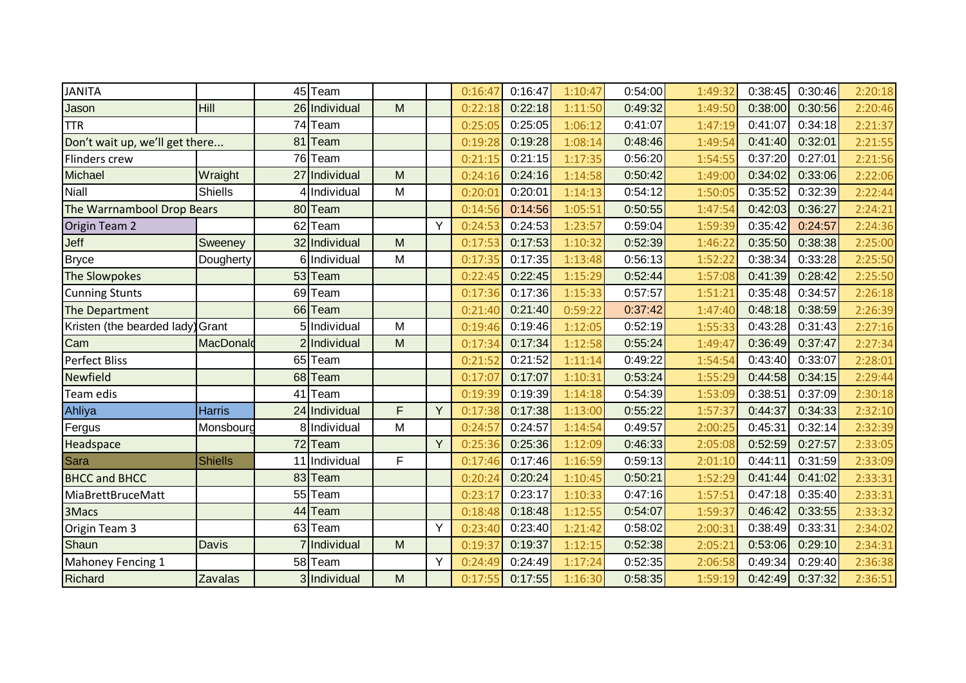| <b>JANITA</b>                    |                |               | 45 Team       |    |   | 0:16:47 | 0:16:47 | 1:10:47 | 0:54:00 | 1:49:32 | 0:38:45 | 0:30:46 | 2:20:18 |
|----------------------------------|----------------|---------------|---------------|----|---|---------|---------|---------|---------|---------|---------|---------|---------|
| Jason                            | <b>Hill</b>    |               | 26 Individual | M  |   | 0:22:18 | 0:22:18 | 1:11:50 | 0:49:32 | 1:49:50 | 0:38:00 | 0:30:56 | 2:20:46 |
| <b>TTR</b>                       |                | 74            | Team          |    |   | 0:25:05 | 0:25:05 | 1:06:12 | 0:41:07 | 1:47:19 | 0:41:07 | 0:34:18 | 2:21:37 |
| Don't wait up, we'll get there   |                | 81            | Team          |    |   | 0:19:28 | 0:19:28 | 1:08:14 | 0:48:46 | 1:49:54 | 0:41:40 | 0:32:01 | 2:21:55 |
| Flinders crew                    |                | 76            | Team          |    |   | 0:21:15 | 0:21:15 | 1:17:35 | 0:56:20 | 1:54:55 | 0:37:20 | 0:27:01 | 2:21:56 |
| Michael                          | Wraight        | 27            | Individual    | M  |   | 0:24:16 | 0:24:16 | 1:14:58 | 0:50:42 | 1:49:00 | 0:34:02 | 0:33:06 | 2:22:06 |
| <b>Niall</b>                     | <b>Shiells</b> |               | Individual    | M  |   | 0:20:01 | 0:20:01 | 1:14:13 | 0:54:12 | 1:50:05 | 0:35:52 | 0:32:39 | 2:22:44 |
| The Warrnambool Drop Bears       |                | 80            | Team          |    |   | 0:14:56 | 0:14:56 | 1:05:51 | 0:50:55 | 1:47:54 | 0:42:03 | 0:36:27 | 2:24:21 |
| Origin Team 2                    |                | 62            | Team          |    | Y | 0:24:53 | 0:24:53 | 1:23:57 | 0:59:04 | 1:59:39 | 0:35:42 | 0:24:57 | 2:24:36 |
| Jeff                             | <b>Sweeney</b> |               | 32 Individual | M  |   | 0:17:53 | 0:17:53 | 1:10:32 | 0:52:39 | 1:46:22 | 0:35:50 | 0:38:38 | 2:25:00 |
| <b>Bryce</b>                     | Dougherty      | 6             | Individual    | M  |   | 0:17:35 | 0:17:35 | 1:13:48 | 0:56:13 | 1:52:22 | 0:38:34 | 0:33:28 | 2:25:50 |
| The Slowpokes                    |                | 53            | Team          |    |   | 0:22:45 | 0:22:45 | 1:15:29 | 0:52:44 | 1:57:08 | 0:41:39 | 0:28:42 | 2:25:50 |
| <b>Cunning Stunts</b>            |                | 69            | Team          |    |   | 0:17:36 | 0:17:36 | 1:15:33 | 0:57:57 | 1:51:21 | 0:35:48 | 0:34:57 | 2:26:18 |
| The Department                   |                | 66            | Team          |    |   | 0:21:40 | 0:21:40 | 0:59:22 | 0:37:42 | 1:47:40 | 0:48:18 | 0:38:59 | 2:26:39 |
| Kristen (the bearded lady) Grant |                | 5             | Individual    | M  |   | 0:19:46 | 0:19:46 | 1:12:05 | 0:52:19 | 1:55:33 | 0:43:28 | 0:31:43 | 2:27:16 |
| Cam                              | MacDonald      | $\mathcal{P}$ | Individual    | M  |   | 0:17:34 | 0:17:34 | 1:12:58 | 0:55:24 | 1:49:47 | 0:36:49 | 0:37:47 | 2:27:34 |
| <b>Perfect Bliss</b>             |                |               | 65 Team       |    |   | 0:21:52 | 0:21:52 | 1:11:14 | 0:49:22 | 1:54:54 | 0:43:40 | 0:33:07 | 2:28:01 |
| Newfield                         |                | 68            | Team          |    |   | 0:17:0  | 0:17:07 | 1:10:31 | 0:53:24 | 1:55:29 | 0:44:58 | 0:34:15 | 2:29:44 |
| Team edis                        |                | 41            | Team          |    |   | 0:19:39 | 0:19:39 | 1:14:18 | 0:54:39 | 1:53:09 | 0:38:51 | 0:37:09 | 2:30:18 |
| Ahliya                           | <b>Harris</b>  |               | 24 Individual | F  | Y | 0:17:38 | 0:17:38 | 1:13:00 | 0:55:22 | 1:57:37 | 0:44:37 | 0:34:33 | 2:32:10 |
| Fergus                           | Monsbourg      |               | 8 Individual  | M  |   | 0:24:57 | 0:24:57 | 1:14:54 | 0:49:57 | 2:00:25 | 0:45:31 | 0:32:14 | 2:32:39 |
| Headspace                        |                |               | 72 Team       |    | Y | 0:25:36 | 0:25:36 | 1:12:09 | 0:46:33 | 2:05:08 | 0:52:59 | 0:27:57 | 2:33:05 |
| Sara                             | <b>Shiells</b> |               | 11 Individual | F. |   | 0:17:46 | 0:17:46 | 1:16:59 | 0:59:13 | 2:01:10 | 0:44:11 | 0:31:59 | 2:33:09 |
| <b>BHCC and BHCC</b>             |                |               | 83 Team       |    |   | 0:20:2  | 0:20:24 | 1:10:45 | 0:50:21 | 1:52:29 | 0:41:44 | 0:41:02 | 2:33:31 |
| MiaBrettBruceMatt                |                |               | 55 Team       |    |   | 0:23:17 | 0:23:17 | 1:10:33 | 0:47:16 | 1:57:51 | 0:47:18 | 0:35:40 | 2:33:31 |
| 3Macs                            |                | 44            | Team          |    |   | 0:18:48 | 0:18:48 | 1:12:55 | 0:54:07 | 1:59:37 | 0:46:42 | 0:33:55 | 2:33:32 |
| Origin Team 3                    |                |               | 63 Team       |    | Y | 0:23:40 | 0:23:40 | 1:21:42 | 0:58:02 | 2:00:31 | 0:38:49 | 0:33:31 | 2:34:02 |
| Shaun                            | <b>Davis</b>   |               | Individual    | M  |   | 0:19:3  | 0:19:37 | 1:12:15 | 0:52:38 | 2:05:2  | 0:53:06 | 0:29:10 | 2:34:31 |
| Mahoney Fencing 1                |                |               | 58 Team       |    | Y | 0:24:49 | 0:24:49 | 1:17:24 | 0:52:35 | 2:06:58 | 0:49:34 | 0:29:40 | 2:36:38 |
| Richard                          | Zavalas        |               | 3 Individual  | M  |   | 0:17:55 | 0:17:55 | 1:16:30 | 0:58:35 | 1:59:19 | 0:42:49 | 0:37:32 | 2:36:51 |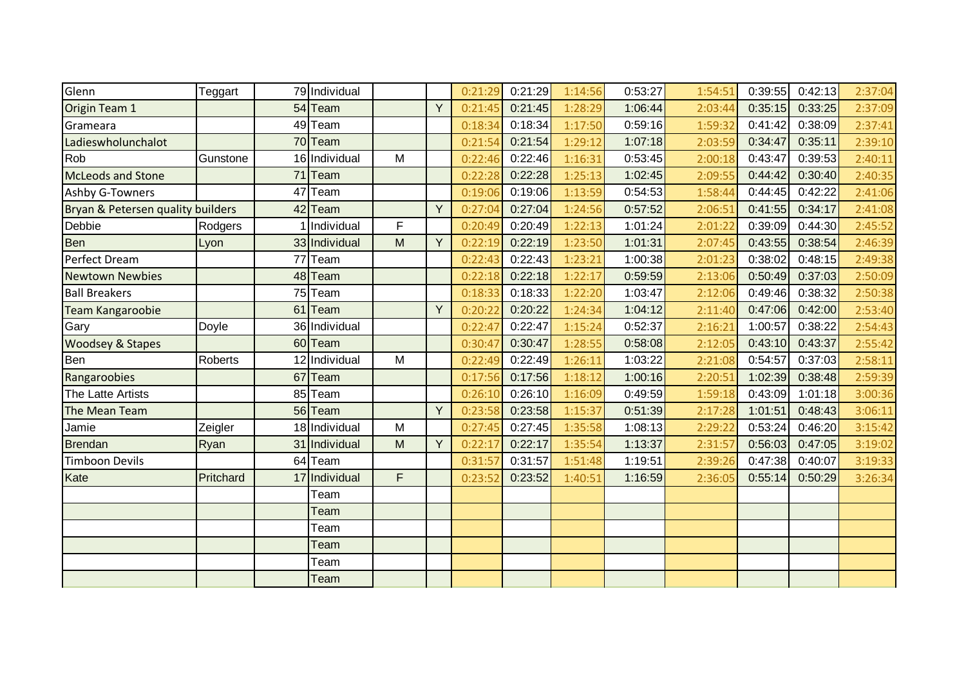| Glenn                             | Teggart   |    | 79 Individual |    |   | 0:21:29 | 0:21:29 | 1:14:56 | 0:53:27 | 1:54:51 | 0:39:55 | 0:42:13 | 2:37:04 |
|-----------------------------------|-----------|----|---------------|----|---|---------|---------|---------|---------|---------|---------|---------|---------|
| Origin Team 1                     |           |    | 54 Team       |    | Y | 0:21:45 | 0:21:45 | 1:28:29 | 1:06:44 | 2:03:44 | 0:35:15 | 0:33:25 | 2:37:09 |
| Grameara                          |           |    | 49 Team       |    |   | 0:18:34 | 0:18:34 | 1:17:50 | 0:59:16 | 1:59:32 | 0:41:42 | 0:38:09 | 2:37:41 |
| Ladieswholunchalot                |           |    | 70 Team       |    |   | 0:21:54 | 0:21:54 | 1:29:12 | 1:07:18 | 2:03:59 | 0:34:47 | 0:35:11 | 2:39:10 |
| Rob                               | Gunstone  |    | 16 Individual | M  |   | 0:22:46 | 0:22:46 | 1:16:31 | 0:53:45 | 2:00:18 | 0:43:47 | 0:39:53 | 2:40:11 |
| <b>McLeods and Stone</b>          |           | 71 | Team          |    |   | 0:22:28 | 0:22:28 | 1:25:13 | 1:02:45 | 2:09:55 | 0:44:42 | 0:30:40 | 2:40:35 |
| Ashby G-Towners                   |           | 47 | Team          |    |   | 0:19:06 | 0:19:06 | 1:13:59 | 0:54:53 | 1:58:44 | 0:44:45 | 0:42:22 | 2:41:06 |
| Bryan & Petersen quality builders |           | 42 | Team          |    | Y | 0:27:04 | 0:27:04 | 1:24:56 | 0:57:52 | 2:06:51 | 0:41:55 | 0:34:17 | 2:41:08 |
| Debbie                            | Rodgers   |    | Individual    | F  |   | 0:20:49 | 0:20:49 | 1:22:13 | 1:01:24 | 2:01:22 | 0:39:09 | 0:44:30 | 2:45:52 |
| Ben                               | Lyon      |    | 33 Individual | M  | Y | 0:22:19 | 0:22:19 | 1:23:50 | 1:01:31 | 2:07:45 | 0:43:55 | 0:38:54 | 2:46:39 |
| Perfect Dream                     |           | 77 | Team          |    |   | 0:22:43 | 0:22:43 | 1:23:21 | 1:00:38 | 2:01:23 | 0:38:02 | 0:48:15 | 2:49:38 |
| <b>Newtown Newbies</b>            |           | 48 | Team          |    |   | 0:22:18 | 0:22:18 | 1:22:17 | 0:59:59 | 2:13:06 | 0:50:49 | 0:37:03 | 2:50:09 |
| <b>Ball Breakers</b>              |           | 75 | Team          |    |   | 0:18:33 | 0:18:33 | 1:22:20 | 1:03:47 | 2:12:06 | 0:49:46 | 0:38:32 | 2:50:38 |
| <b>Team Kangaroobie</b>           |           | 61 | Team          |    | Y | 0:20:22 | 0:20:22 | 1:24:34 | 1:04:12 | 2:11:40 | 0:47:06 | 0:42:00 | 2:53:40 |
| Gary                              | Doyle     |    | 36 Individual |    |   | 0:22:47 | 0:22:47 | 1:15:24 | 0:52:37 | 2:16:21 | 1:00:57 | 0:38:22 | 2:54:43 |
| Woodsey & Stapes                  |           |    | 60 Team       |    |   | 0:30:47 | 0:30:47 | 1:28:55 | 0:58:08 | 2:12:05 | 0:43:10 | 0:43:37 | 2:55:42 |
| Ben                               | Roberts   |    | 12 Individual | M  |   | 0:22:49 | 0:22:49 | 1:26:11 | 1:03:22 | 2:21:08 | 0:54:57 | 0:37:03 | 2:58:11 |
| Rangaroobies                      |           | 67 | Team          |    |   | 0:17:56 | 0:17:56 | 1:18:12 | 1:00:16 | 2:20:51 | 1:02:39 | 0:38:48 | 2:59:39 |
| The Latte Artists                 |           | 85 | Team          |    |   | 0:26:10 | 0:26:10 | 1:16:09 | 0:49:59 | 1:59:18 | 0:43:09 | 1:01:18 | 3:00:36 |
| The Mean Team                     |           |    | 56 Team       |    | Y | 0:23:58 | 0:23:58 | 1:15:37 | 0:51:39 | 2:17:28 | 1:01:51 | 0:48:43 | 3:06:11 |
| Jamie                             | Zeigler   |    | 18 Individual | M  |   | 0:27:45 | 0:27:45 | 1:35:58 | 1:08:13 | 2:29:22 | 0:53:24 | 0:46:20 | 3:15:42 |
| <b>Brendan</b>                    | Ryan      |    | 31 Individual | M  | Y | 0:22:17 | 0:22:17 | 1:35:54 | 1:13:37 | 2:31:57 | 0:56:03 | 0:47:05 | 3:19:02 |
| <b>Timboon Devils</b>             |           |    | 64 Team       |    |   | 0:31:57 | 0:31:57 | 1:51:48 | 1:19:51 | 2:39:26 | 0:47:38 | 0:40:07 | 3:19:33 |
| Kate                              | Pritchard |    | 17 Individual | F. |   | 0:23:52 | 0:23:52 | 1:40:51 | 1:16:59 | 2:36:05 | 0:55:14 | 0:50:29 | 3:26:34 |
|                                   |           |    | Team          |    |   |         |         |         |         |         |         |         |         |
|                                   |           |    | Team          |    |   |         |         |         |         |         |         |         |         |
|                                   |           |    | Team          |    |   |         |         |         |         |         |         |         |         |
|                                   |           |    | Team          |    |   |         |         |         |         |         |         |         |         |
|                                   |           |    | Team          |    |   |         |         |         |         |         |         |         |         |
|                                   |           |    | Team          |    |   |         |         |         |         |         |         |         |         |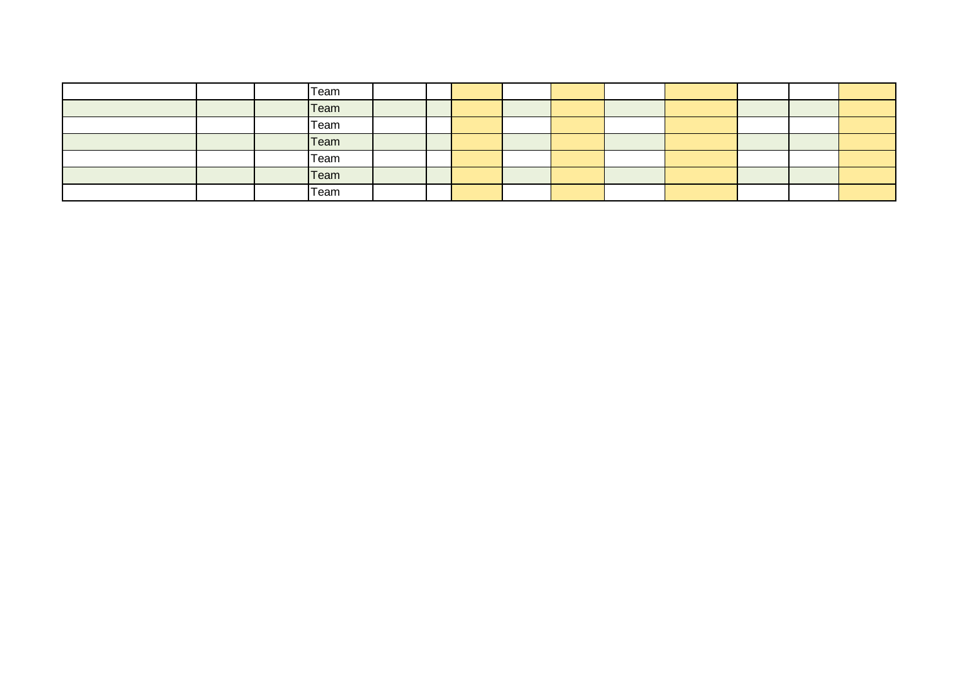|  | <b>Team</b> |  |  |  |  |  |
|--|-------------|--|--|--|--|--|
|  | <b>Team</b> |  |  |  |  |  |
|  | Team        |  |  |  |  |  |
|  | Team        |  |  |  |  |  |
|  | Team        |  |  |  |  |  |
|  | <b>Team</b> |  |  |  |  |  |
|  | Team        |  |  |  |  |  |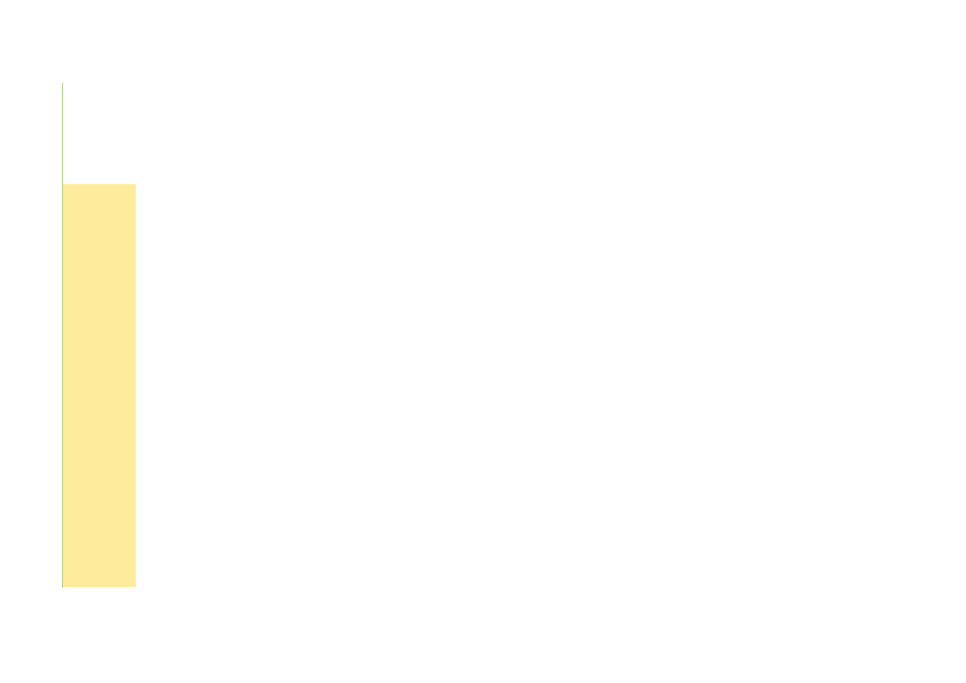